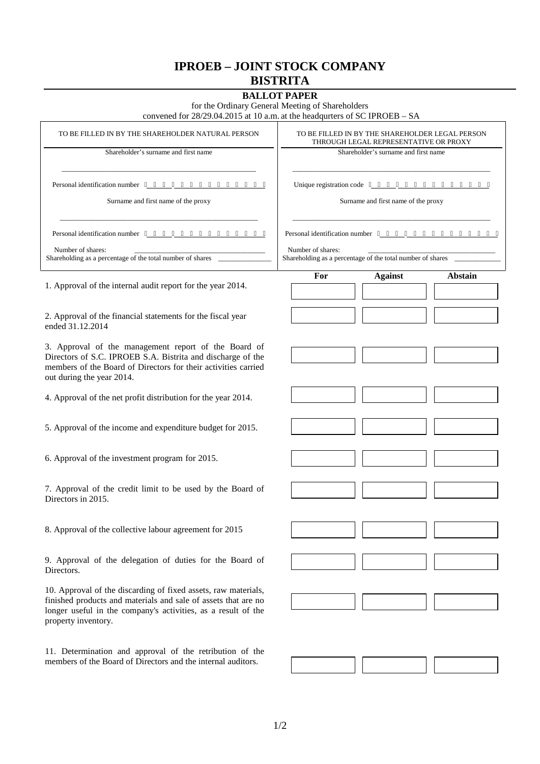## **IPROEB – JOINT STOCK COMPANY BISTRITA**

## **BALLOT PAPER**

for the Ordinary General Meeting of Shareholders

convened for 28/29.04.2015 at 10 a.m. at the headqurters of SC IPROEB – SA

| TO BE FILLED IN BY THE SHAREHOLDER NATURAL PERSON                                                                                                                                                                        | TO BE FILLED IN BY THE SHAREHOLDER LEGAL PERSON<br>THROUGH LEGAL REPRESENTATIVE OR PROXY<br>Shareholder's surname and first name<br>Surname and first name of the proxy |  |
|--------------------------------------------------------------------------------------------------------------------------------------------------------------------------------------------------------------------------|-------------------------------------------------------------------------------------------------------------------------------------------------------------------------|--|
| Shareholder's surname and first name                                                                                                                                                                                     |                                                                                                                                                                         |  |
| Personal identification number<br>Surname and first name of the proxy                                                                                                                                                    |                                                                                                                                                                         |  |
| Personal identification number                                                                                                                                                                                           | Personal identification number                                                                                                                                          |  |
| Number of shares:<br>Shareholding as a percentage of the total number of shares                                                                                                                                          | Number of shares:<br>Shareholding as a percentage of the total number of shares                                                                                         |  |
| 1. Approval of the internal audit report for the year 2014.                                                                                                                                                              | <b>Against</b><br>Abstain<br>For                                                                                                                                        |  |
| 2. Approval of the financial statements for the fiscal year<br>ended 31.12.2014                                                                                                                                          |                                                                                                                                                                         |  |
| 3. Approval of the management report of the Board of<br>Directors of S.C. IPROEB S.A. Bistrita and discharge of the<br>members of the Board of Directors for their activities carried<br>out during the year 2014.       |                                                                                                                                                                         |  |
| 4. Approval of the net profit distribution for the year 2014.                                                                                                                                                            |                                                                                                                                                                         |  |
| 5. Approval of the income and expenditure budget for 2015.                                                                                                                                                               |                                                                                                                                                                         |  |
| 6. Approval of the investment program for 2015.                                                                                                                                                                          |                                                                                                                                                                         |  |
| 7. Approval of the credit limit to be used by the Board of<br>Directors in 2015.                                                                                                                                         |                                                                                                                                                                         |  |
| 8. Approval of the collective labour agreement for 2015                                                                                                                                                                  |                                                                                                                                                                         |  |
| 9. Approval of the delegation of duties for the Board of<br>Directors.                                                                                                                                                   |                                                                                                                                                                         |  |
| 10. Approval of the discarding of fixed assets, raw materials,<br>finished products and materials and sale of assets that are no<br>longer useful in the company's activities, as a result of the<br>property inventory. |                                                                                                                                                                         |  |
| 11. Determination and approval of the retribution of the<br>members of the Board of Directors and the internal auditors.                                                                                                 |                                                                                                                                                                         |  |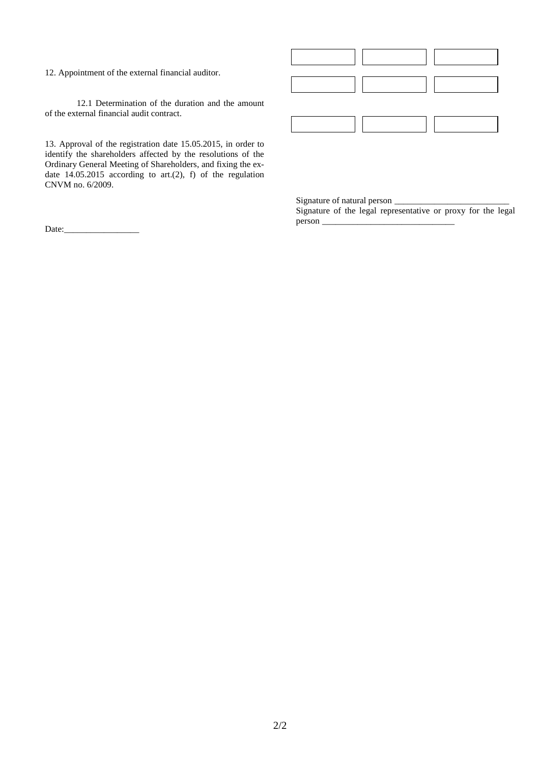12. Appointment of the external financial auditor.

12.1 Determination of the duration and the amount of the external financial audit contract.

13. Approval of the registration date 15.05.2015, in order to identify the shareholders affected by the resolutions of the Ordinary General Meeting of Shareholders, and fixing the ex date  $14.05.2015$  according to art.(2), f) of the regulation CNVM no. 6/2009.

Date:\_\_\_\_\_\_\_\_\_\_\_\_\_\_\_\_\_

|               | $\frac{1}{\sqrt{1-\frac{1}{2}}}\left  \begin{array}{c} 1 \\ 1 \end{array} \right $ |                             |
|---------------|------------------------------------------------------------------------------------|-----------------------------|
| $\frac{1}{2}$ |                                                                                    | $\mathcal{L}^{\mathcal{L}}$ |
|               | and the state                                                                      |                             |

Signature of natural person  $\_\_$ 

Signature of the legal representative or proxy for the legal  $person$ <sub> $\_\_$ </sub>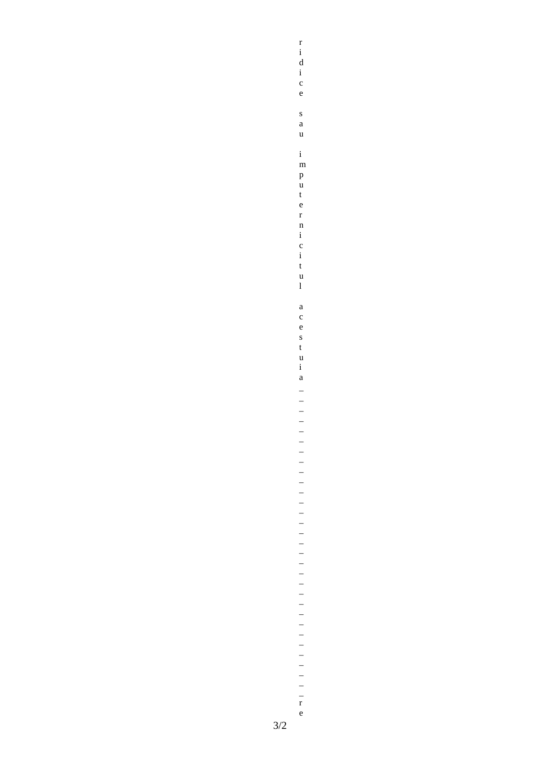$\begin{array}{c} r\\ i\\ d\\ i \end{array}$  $\mathbf{c}$  $\mathbf{e}$  $\mathbf{s}$  $\mathbf{a}$  $\mathbf{u}$  $\mathbf{i}$  $\mathbf{m}$  $\mathbf{p}$  $\frac{1}{t}$  $\mathbf{e}$  $\mathbf{r}$  $\frac{1}{i}$  $\overline{c}$ <br> $\overline{i}$  $\mathbf{t}$  $\frac{u}{1}$  $\mathbf{a}$  $\frac{c}{e}$  $\frac{s}{t}$  $\frac{u}{i}$  $\mathbf{a}$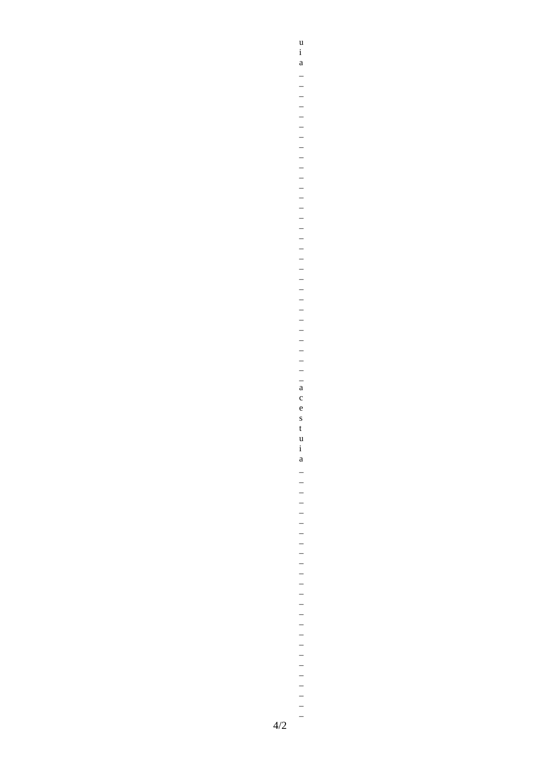$\begin{array}{c} u\\ i\\ a \end{array}$  $\frac{u}{i}$  $\mathbf{a}$